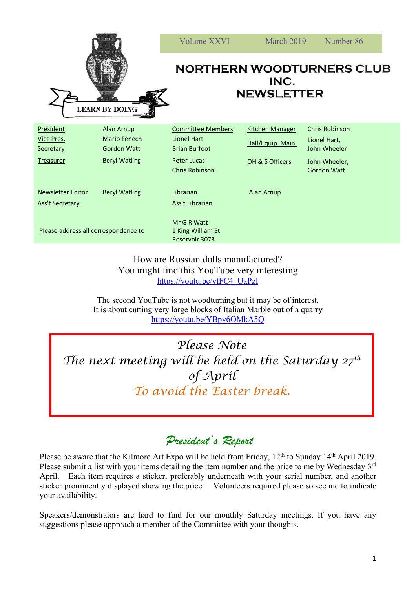| <b>EXTER STAFF</b><br><b>LEARN BY DOING</b>        |                                                  | Volume XXVI                                                     | March 2019                                  | Number 86                                             |
|----------------------------------------------------|--------------------------------------------------|-----------------------------------------------------------------|---------------------------------------------|-------------------------------------------------------|
|                                                    |                                                  | <b>NORTHERN WOODTURNERS CLUB</b><br>INC.<br><b>NEWSLETTER</b>   |                                             |                                                       |
| <b>President</b><br><b>Vice Pres.</b><br>Secretary | Alan Arnup<br>Mario Fenech<br><b>Gordon Watt</b> | <b>Committee Members</b><br>Lionel Hart<br><b>Brian Burfoot</b> | <b>Kitchen Manager</b><br>Hall/Equip. Main. | <b>Chris Robinson</b><br>Lionel Hart,<br>John Wheeler |
| <b>Treasurer</b>                                   | <b>Beryl Watling</b>                             | <b>Peter Lucas</b><br><b>Chris Robinson</b>                     | OH & S Officers                             | John Wheeler,<br><b>Gordon Watt</b>                   |
| Newsletter Editor<br><b>Ass't Secretary</b>        | <b>Beryl Watling</b>                             | Librarian<br>Ass't Librarian                                    | Alan Arnup                                  |                                                       |
| Please address all correspondence to               |                                                  | Mr G R Watt<br>1 King William St<br>Reservoir 3073              |                                             |                                                       |

How are Russian dolls manufactured? You might find this YouTube very interesting https://youtu.be/vtFC4\_UaPzI

The second YouTube is not woodturning but it may be of interest. It is about cutting very large blocks of Italian Marble out of a quarry https://youtu.be/YBpy6OMkA5Q

*Please Note The next meeting will be held on the Saturday 27th of April To avoid the Easter break.*

## *President's Report*

Please be aware that the Kilmore Art Expo will be held from Friday, 12<sup>th</sup> to Sunday 14<sup>th</sup> April 2019. Please submit a list with your items detailing the item number and the price to me by Wednesday 3<sup>rd</sup> April. Each item requires a sticker, preferably underneath with your serial number, and another sticker prominently displayed showing the price. Volunteers required please so see me to indicate your availability.

Speakers/demonstrators are hard to find for our monthly Saturday meetings. If you have any suggestions please approach a member of the Committee with your thoughts.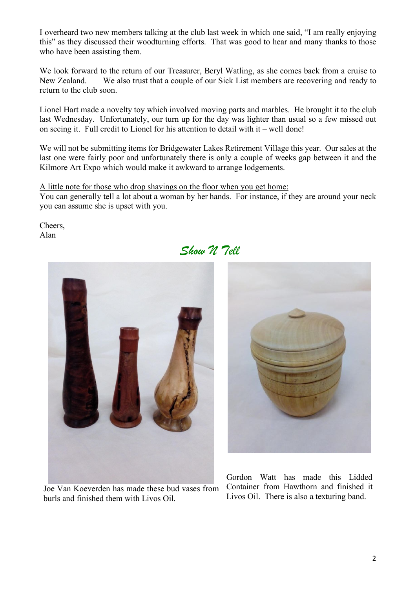I overheard two new members talking at the club last week in which one said, "I am really enjoying this" as they discussed their woodturning efforts. That was good to hear and many thanks to those who have been assisting them.

We look forward to the return of our Treasurer, Beryl Watling, as she comes back from a cruise to New Zealand. We also trust that a couple of our Sick List members are recovering and ready to return to the club soon.

Lionel Hart made a novelty toy which involved moving parts and marbles. He brought it to the club last Wednesday. Unfortunately, our turn up for the day was lighter than usual so a few missed out on seeing it. Full credit to Lionel for his attention to detail with it – well done!

We will not be submitting items for Bridgewater Lakes Retirement Village this year. Our sales at the last one were fairly poor and unfortunately there is only a couple of weeks gap between it and the Kilmore Art Expo which would make it awkward to arrange lodgements.

A little note for those who drop shavings on the floor when you get home: You can generally tell a lot about a woman by her hands. For instance, if they are around your neck you can assume she is upset with you.

Cheers, Alan

## *Show N Tell*



Joe Van Koeverden has made these bud vases from burls and finished them with Livos Oil.



Gordon Watt has made this Lidded Container from Hawthorn and finished it Livos Oil. There is also a texturing band.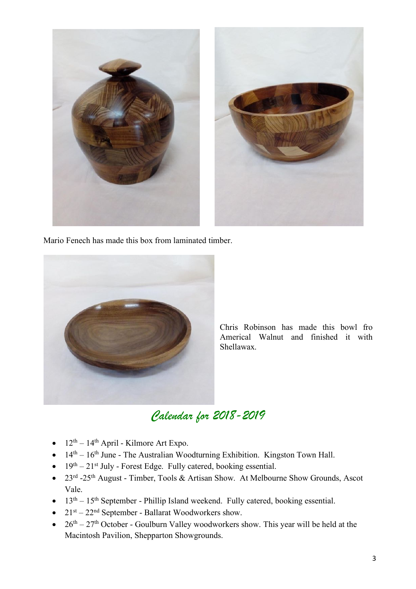

Mario Fenech has made this box from laminated timber.



Chris Robinson has made this bowl fro Americal Walnut and finished it with Shellawax.

## *Calendar for 2018-2019*

- $12<sup>th</sup> 14<sup>th</sup>$  April Kilmore Art Expo.
- $14<sup>th</sup> 16<sup>th</sup>$  June The Australian Woodturning Exhibition. Kingston Town Hall.
- $19<sup>th</sup> 21<sup>st</sup>$  July Forest Edge. Fully catered, booking essential.
- 23<sup>rd</sup> -25<sup>th</sup> August Timber, Tools & Artisan Show. At Melbourne Show Grounds, Ascot Vale.
- $13<sup>th</sup> 15<sup>th</sup>$  September Phillip Island weekend. Fully catered, booking essential.
- $21$ <sup>st</sup>  $22$ <sup>nd</sup> September Ballarat Woodworkers show.
- $26<sup>th</sup> 27<sup>th</sup>$  October Goulburn Valley woodworkers show. This year will be held at the Macintosh Pavilion, Shepparton Showgrounds.